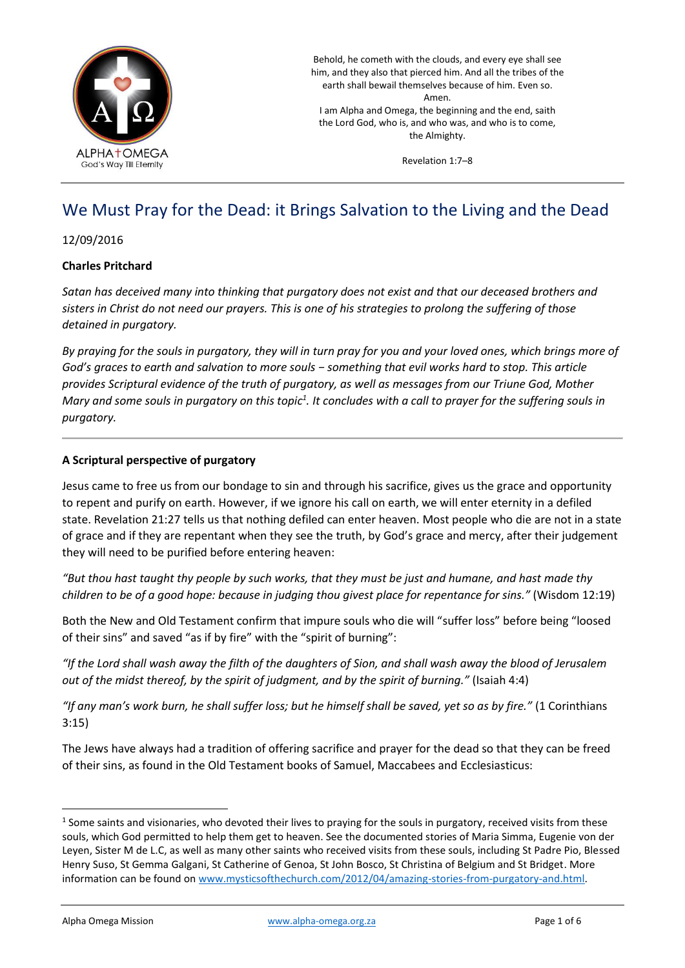

Behold, he cometh with the clouds, and every eye shall see him, and they also that pierced him. And all the tribes of the earth shall bewail themselves because of him. Even so. Amen.

I am Alpha and Omega, the beginning and the end, saith the Lord God, who is, and who was, and who is to come, the Almighty.

Revelation 1:7–8

# We Must Pray for the Dead: it Brings Salvation to the Living and the Dead

12/09/2016

### **Charles Pritchard**

*Satan has deceived many into thinking that purgatory does not exist and that our deceased brothers and sisters in Christ do not need our prayers. This is one of his strategies to prolong the suffering of those detained in purgatory.* 

*By praying for the souls in purgatory, they will in turn pray for you and your loved ones, which brings more of God's graces to earth and salvation to more souls − something that evil works hard to stop. This article provides Scriptural evidence of the truth of purgatory, as well as messages from our Triune God, Mother Mary and some souls in purgatory on this topic<sup>1</sup> . It concludes with a call to prayer for the suffering souls in purgatory.*

### **A Scriptural perspective of purgatory**

Jesus came to free us from our bondage to sin and through his sacrifice, gives us the grace and opportunity to repent and purify on earth. However, if we ignore his call on earth, we will enter eternity in a defiled state. Revelation 21:27 tells us that nothing defiled can enter heaven. Most people who die are not in a state of grace and if they are repentant when they see the truth, by God's grace and mercy, after their judgement they will need to be purified before entering heaven:

*"But thou hast taught thy people by such works, that they must be just and humane, and hast made thy children to be of a good hope: because in judging thou givest place for repentance for sins."* (Wisdom 12:19)

Both the New and Old Testament confirm that impure souls who die will "suffer loss" before being "loosed of their sins" and saved "as if by fire" with the "spirit of burning":

*"If the Lord shall wash away the filth of the daughters of Sion, and shall wash away the blood of Jerusalem out of the midst thereof, by the spirit of judgment, and by the spirit of burning."* (Isaiah 4:4)

*"If any man's work burn, he shall suffer loss; but he himself shall be saved, yet so as by fire."* (1 Corinthians 3:15)

The Jews have always had a tradition of offering sacrifice and prayer for the dead so that they can be freed of their sins, as found in the Old Testament books of Samuel, Maccabees and Ecclesiasticus:

 $1$  Some saints and visionaries, who devoted their lives to praying for the souls in purgatory, received visits from these souls, which God permitted to help them get to heaven. See the documented stories of Maria Simma, Eugenie von der Leyen, Sister M de L.C, as well as many other saints who received visits from these souls, including St Padre Pio, Blessed Henry Suso, St Gemma Galgani, St Catherine of Genoa, St John Bosco, St Christina of Belgium and St Bridget. More information can be found o[n www.mysticsofthechurch.com/2012/04/amazing-stories-from-purgatory-and.html.](http://www.mysticsofthechurch.com/2012/04/amazing-stories-from-purgatory-and.html)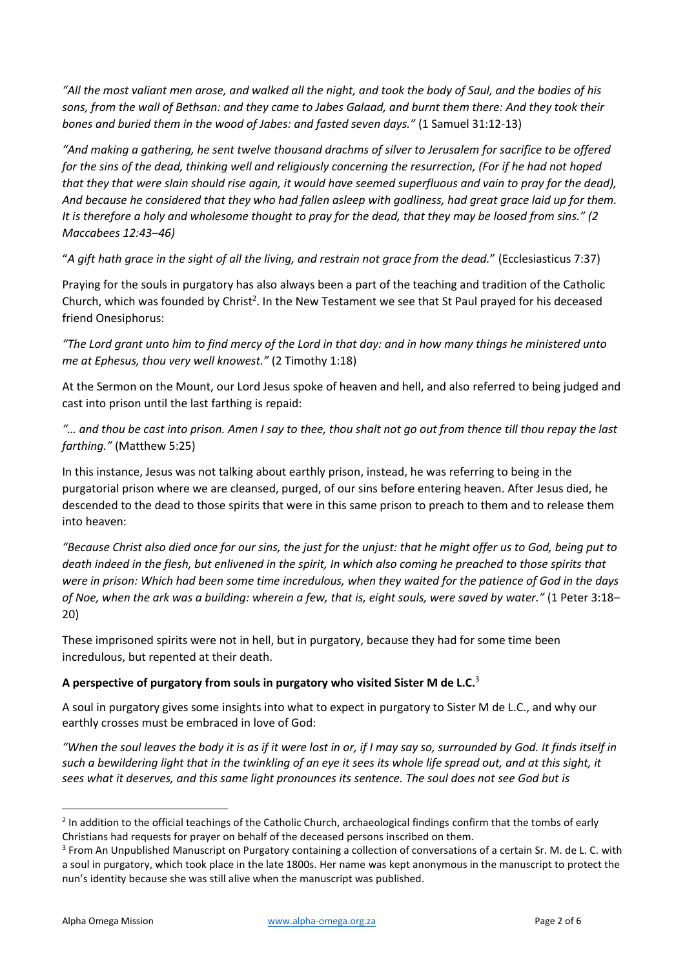*"All the most valiant men arose, and walked all the night, and took the body of Saul, and the bodies of his sons, from the wall of Bethsan: and they came to Jabes Galaad, and burnt them there: And they took their bones and buried them in the wood of Jabes: and fasted seven days."* (1 Samuel 31:12-13)

*"And making a gathering, he sent twelve thousand drachms of silver to Jerusalem for sacrifice to be offered for the sins of the dead, thinking well and religiously concerning the resurrection, (For if he had not hoped that they that were slain should rise again, it would have seemed superfluous and vain to pray for the dead), And because he considered that they who had fallen asleep with godliness, had great grace laid up for them. It is therefore a holy and wholesome thought to pray for the dead, that they may be loosed from sins." (2 Maccabees 12:43–46)*

"*A gift hath grace in the sight of all the living, and restrain not grace from the dead.*" (Ecclesiasticus 7:37)

Praying for the souls in purgatory has also always been a part of the teaching and tradition of the Catholic Church, which was founded by Christ<sup>2</sup>. In the New Testament we see that St Paul prayed for his deceased friend Onesiphorus:

*"The Lord grant unto him to find mercy of the Lord in that day: and in how many things he ministered unto me at Ephesus, thou very well knowest."* (2 Timothy 1:18)

At the Sermon on the Mount, our Lord Jesus spoke of heaven and hell, and also referred to being judged and cast into prison until the last farthing is repaid:

*"… and thou be cast into prison. Amen I say to thee, thou shalt not go out from thence till thou repay the last farthing."* (Matthew 5:25)

In this instance, Jesus was not talking about earthly prison, instead, he was referring to being in the purgatorial prison where we are cleansed, purged, of our sins before entering heaven. After Jesus died, he descended to the dead to those spirits that were in this same prison to preach to them and to release them into heaven:

*"Because Christ also died once for our sins, the just for the unjust: that he might offer us to God, being put to death indeed in the flesh, but enlivened in the spirit, In which also coming he preached to those spirits that were in prison: Which had been some time incredulous, when they waited for the patience of God in the days of Noe, when the ark was a building: wherein a few, that is, eight souls, were saved by water."* (1 Peter 3:18– 20)

These imprisoned spirits were not in hell, but in purgatory, because they had for some time been incredulous, but repented at their death.

# **A perspective of purgatory from souls in purgatory who visited Sister M de L.C.**<sup>3</sup>

A soul in purgatory gives some insights into what to expect in purgatory to Sister M de L.C., and why our earthly crosses must be embraced in love of God:

*"When the soul leaves the body it is as if it were lost in or, if I may say so, surrounded by God. It finds itself in such a bewildering light that in the twinkling of an eye it sees its whole life spread out, and at this sight, it sees what it deserves, and this same light pronounces its sentence. The soul does not see God but is* 

<sup>&</sup>lt;sup>2</sup> In addition to the official teachings of the Catholic Church, archaeological findings confirm that the tombs of early Christians had requests for prayer on behalf of the deceased persons inscribed on them.

<sup>&</sup>lt;sup>3</sup> From An Unpublished Manuscript on Purgatory containing a collection of conversations of a certain Sr. M. de L. C. with a soul in purgatory, which took place in the late 1800s. Her name was kept anonymous in the manuscript to protect the nun's identity because she was still alive when the manuscript was published.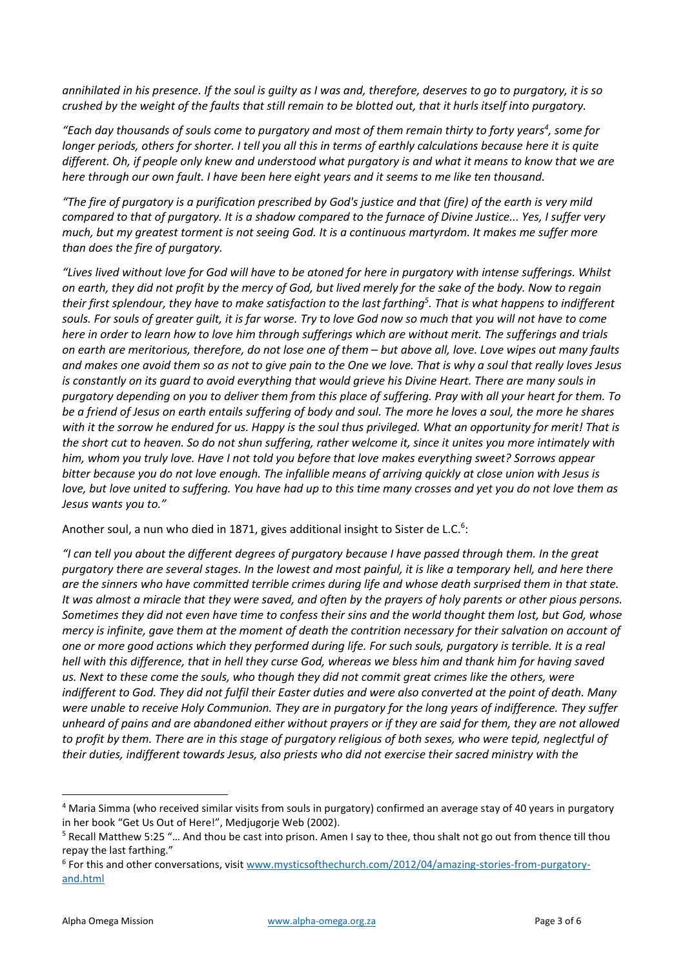*annihilated in his presence. If the soul is guilty as I was and, therefore, deserves to go to purgatory, it is so crushed by the weight of the faults that still remain to be blotted out, that it hurls itself into purgatory.*

*"Each day thousands of souls come to purgatory and most of them remain thirty to forty years<sup>4</sup> , some for longer periods, others for shorter. I tell you all this in terms of earthly calculations because here it is quite different. Oh, if people only knew and understood what purgatory is and what it means to know that we are here through our own fault. I have been here eight years and it seems to me like ten thousand.*

*"The fire of purgatory is a purification prescribed by God's justice and that (fire) of the earth is very mild compared to that of purgatory. It is a shadow compared to the furnace of Divine Justice... Yes, I suffer very much, but my greatest torment is not seeing God. It is a continuous martyrdom. It makes me suffer more than does the fire of purgatory.*

*"Lives lived without love for God will have to be atoned for here in purgatory with intense sufferings. Whilst on earth, they did not profit by the mercy of God, but lived merely for the sake of the body. Now to regain their first splendour, they have to make satisfaction to the last farthing<sup>5</sup> . That is what happens to indifferent souls. For souls of greater guilt, it is far worse. Try to love God now so much that you will not have to come here in order to learn how to love him through sufferings which are without merit. The sufferings and trials on earth are meritorious, therefore, do not lose one of them – but above all, love. Love wipes out many faults and makes one avoid them so as not to give pain to the One we love. That is why a soul that really loves Jesus is constantly on its guard to avoid everything that would grieve his Divine Heart. There are many souls in purgatory depending on you to deliver them from this place of suffering. Pray with all your heart for them. To be a friend of Jesus on earth entails suffering of body and soul. The more he loves a soul, the more he shares with it the sorrow he endured for us. Happy is the soul thus privileged. What an opportunity for merit! That is the short cut to heaven. So do not shun suffering, rather welcome it, since it unites you more intimately with him, whom you truly love. Have I not told you before that love makes everything sweet? Sorrows appear bitter because you do not love enough. The infallible means of arriving quickly at close union with Jesus is love, but love united to suffering. You have had up to this time many crosses and yet you do not love them as Jesus wants you to."* 

Another soul, a nun who died in 1871, gives additional insight to Sister de L.C. $6$ :

*"I can tell you about the different degrees of purgatory because I have passed through them. In the great purgatory there are several stages. In the lowest and most painful, it is like a temporary hell, and here there are the sinners who have committed terrible crimes during life and whose death surprised them in that state. It was almost a miracle that they were saved, and often by the prayers of holy parents or other pious persons. Sometimes they did not even have time to confess their sins and the world thought them lost, but God, whose mercy is infinite, gave them at the moment of death the contrition necessary for their salvation on account of one or more good actions which they performed during life. For such souls, purgatory is terrible. It is a real hell with this difference, that in hell they curse God, whereas we bless him and thank him for having saved us. Next to these come the souls, who though they did not commit great crimes like the others, were indifferent to God. They did not fulfil their Easter duties and were also converted at the point of death. Many were unable to receive Holy Communion. They are in purgatory for the long years of indifference. They suffer unheard of pains and are abandoned either without prayers or if they are said for them, they are not allowed*  to profit by them. There are in this stage of purgatory religious of both sexes, who were tepid, neglectful of *their duties, indifferent towards Jesus, also priests who did not exercise their sacred ministry with the* 

<sup>&</sup>lt;sup>4</sup> Maria Simma (who received similar visits from souls in purgatory) confirmed an average stay of 40 years in purgatory in her book "Get Us Out of Here!", Medjugorje Web (2002).

<sup>5</sup> Recall Matthew 5:25 "… And thou be cast into prison. Amen I say to thee, thou shalt not go out from thence till thou repay the last farthing."

<sup>&</sup>lt;sup>6</sup> For this and other conversations, visit [www.mysticsofthechurch.com/2012/04/amazing-stories-from-purgatory](http://www.mysticsofthechurch.com/2012/04/amazing-stories-from-purgatory-and.html)[and.html](http://www.mysticsofthechurch.com/2012/04/amazing-stories-from-purgatory-and.html)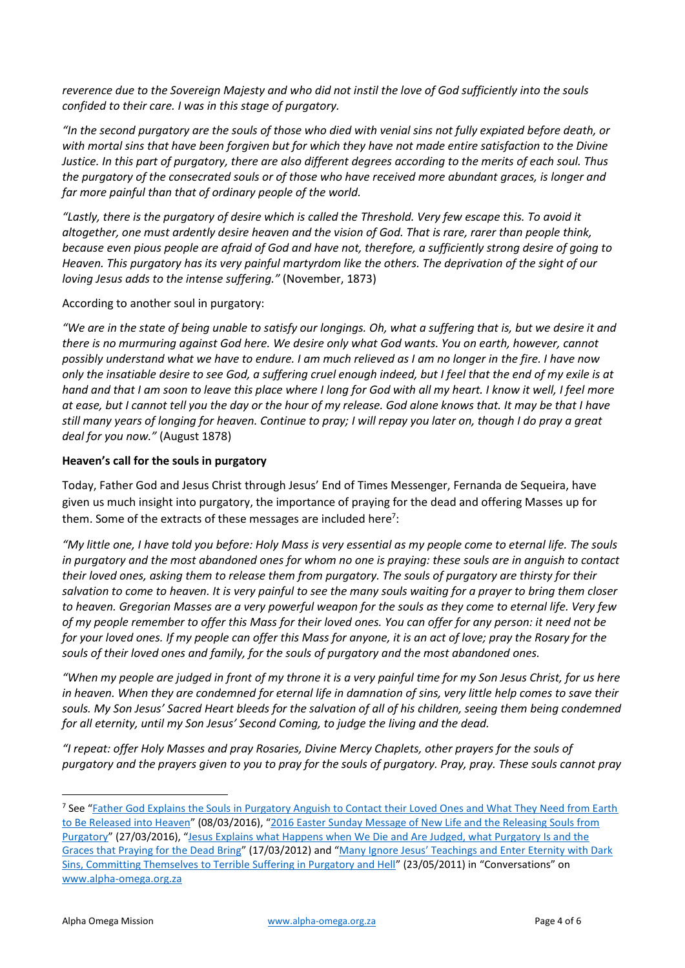*reverence due to the Sovereign Majesty and who did not instil the love of God sufficiently into the souls confided to their care. I was in this stage of purgatory.*

*"In the second purgatory are the souls of those who died with venial sins not fully expiated before death, or with mortal sins that have been forgiven but for which they have not made entire satisfaction to the Divine Justice. In this part of purgatory, there are also different degrees according to the merits of each soul. Thus the purgatory of the consecrated souls or of those who have received more abundant graces, is longer and far more painful than that of ordinary people of the world.*

*"Lastly, there is the purgatory of desire which is called the Threshold. Very few escape this. To avoid it altogether, one must ardently desire heaven and the vision of God. That is rare, rarer than people think, because even pious people are afraid of God and have not, therefore, a sufficiently strong desire of going to Heaven. This purgatory has its very painful martyrdom like the others. The deprivation of the sight of our loving Jesus adds to the intense suffering."* (November, 1873)

According to another soul in purgatory:

*"We are in the state of being unable to satisfy our longings. Oh, what a suffering that is, but we desire it and there is no murmuring against God here. We desire only what God wants. You on earth, however, cannot possibly understand what we have to endure. I am much relieved as I am no longer in the fire. I have now only the insatiable desire to see God, a suffering cruel enough indeed, but I feel that the end of my exile is at hand and that I am soon to leave this place where I long for God with all my heart. I know it well, I feel more at ease, but I cannot tell you the day or the hour of my release. God alone knows that. It may be that I have still many years of longing for heaven. Continue to pray; I will repay you later on, though I do pray a great deal for you now."* (August 1878)

#### **Heaven's call for the souls in purgatory**

Today, Father God and Jesus Christ through Jesus' End of Times Messenger, Fernanda de Sequeira, have given us much insight into purgatory, the importance of praying for the dead and offering Masses up for them. Some of the extracts of these messages are included here<sup>7</sup>:

*"My little one, I have told you before: Holy Mass is very essential as my people come to eternal life. The souls in purgatory and the most abandoned ones for whom no one is praying: these souls are in anguish to contact their loved ones, asking them to release them from purgatory. The souls of purgatory are thirsty for their salvation to come to heaven. It is very painful to see the many souls waiting for a prayer to bring them closer to heaven. Gregorian Masses are a very powerful weapon for the souls as they come to eternal life. Very few of my people remember to offer this Mass for their loved ones. You can offer for any person: it need not be for your loved ones. If my people can offer this Mass for anyone, it is an act of love; pray the Rosary for the souls of their loved ones and family, for the souls of purgatory and the most abandoned ones.*

*"When my people are judged in front of my throne it is a very painful time for my Son Jesus Christ, for us here in heaven. When they are condemned for eternal life in damnation of sins, very little help comes to save their*  souls. My Son Jesus' Sacred Heart bleeds for the salvation of all of his children, seeing them being condemned *for all eternity, until my Son Jesus' Second Coming, to judge the living and the dead.*

*"I repeat: offer Holy Masses and pray Rosaries, Divine Mercy Chaplets, other prayers for the souls of purgatory and the prayers given to you to pray for the souls of purgatory. Pray, pray. These souls cannot pray* 

<sup>&</sup>lt;sup>7</sup> See "Father God Explains the Souls in Purgatory Anguish to Contact their Loved Ones and What They Need from Earth [to Be Released into Heaven](http://www.alpha-omega.org.za/DirectoryDisplay/ResourceItem.aspx?ResourceListingId=4448)" (08/03/2016), "[2016 Easter Sunday Message of New Life and the Releasing Souls from](http://www.alpha-omega.org.za/DirectoryDisplay/ResourceItem.aspx?ResourceListingId=4274)  [Purgatory](http://www.alpha-omega.org.za/DirectoryDisplay/ResourceItem.aspx?ResourceListingId=4274)" (27/03/2016), "[Jesus Explains what Happens when We Die and Are Judged, what Purgatory Is and the](http://www.alpha-omega.org.za/DirectoryDisplay/ResourceItem.aspx?ResourceListingId=4473)  [Graces that Praying for the Dead Bring](http://www.alpha-omega.org.za/DirectoryDisplay/ResourceItem.aspx?ResourceListingId=4473)" (17/03/2012) and ["Many Ignore Jesus' Teachings and Enter Eternity with Dark](http://www.alpha-omega.org.za/DirectoryDisplay/ResourceItem.aspx?ResourceListingId=3555)  [Sins, Committing Themselves to Terrible Suffering in Purgatory and Hell](http://www.alpha-omega.org.za/DirectoryDisplay/ResourceItem.aspx?ResourceListingId=3555)" (23/05/2011) in "Conversations" on [www.alpha-omega.org.za](http://www.alpha-omega.org.za/)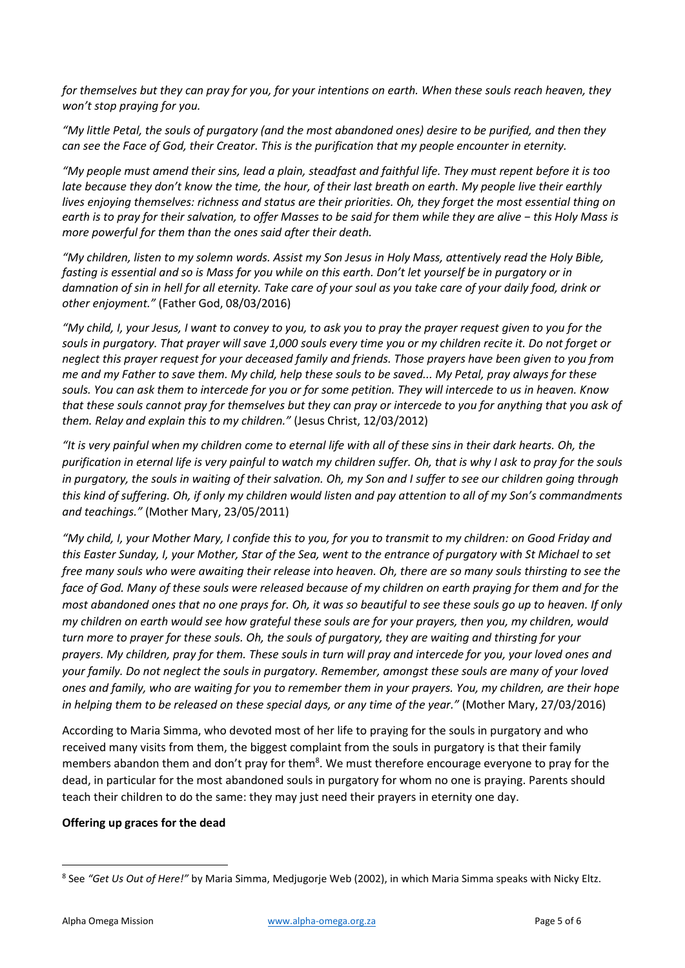*for themselves but they can pray for you, for your intentions on earth. When these souls reach heaven, they won't stop praying for you.*

*"My little Petal, the souls of purgatory (and the most abandoned ones) desire to be purified, and then they can see the Face of God, their Creator. This is the purification that my people encounter in eternity.*

*"My people must amend their sins, lead a plain, steadfast and faithful life. They must repent before it is too late because they don't know the time, the hour, of their last breath on earth. My people live their earthly lives enjoying themselves: richness and status are their priorities. Oh, they forget the most essential thing on earth is to pray for their salvation, to offer Masses to be said for them while they are alive − this Holy Mass is more powerful for them than the ones said after their death.*

*"My children, listen to my solemn words. Assist my Son Jesus in Holy Mass, attentively read the Holy Bible, fasting is essential and so is Mass for you while on this earth. Don't let yourself be in purgatory or in damnation of sin in hell for all eternity. Take care of your soul as you take care of your daily food, drink or other enjoyment."* (Father God, 08/03/2016)

*"My child, I, your Jesus, I want to convey to you, to ask you to pray the prayer request given to you for the souls in purgatory. That prayer will save 1,000 souls every time you or my children recite it. Do not forget or neglect this prayer request for your deceased family and friends. Those prayers have been given to you from me and my Father to save them. My child, help these souls to be saved... My Petal, pray always for these souls. You can ask them to intercede for you or for some petition. They will intercede to us in heaven. Know that these souls cannot pray for themselves but they can pray or intercede to you for anything that you ask of them. Relay and explain this to my children."* (Jesus Christ, 12/03/2012)

*"It is very painful when my children come to eternal life with all of these sins in their dark hearts. Oh, the purification in eternal life is very painful to watch my children suffer. Oh, that is why I ask to pray for the souls in purgatory, the souls in waiting of their salvation. Oh, my Son and I suffer to see our children going through this kind of suffering. Oh, if only my children would listen and pay attention to all of my Son's commandments and teachings."* (Mother Mary, 23/05/2011)

*"My child, I, your Mother Mary, I confide this to you, for you to transmit to my children: on Good Friday and this Easter Sunday, I, your Mother, Star of the Sea, went to the entrance of purgatory with St Michael to set free many souls who were awaiting their release into heaven. Oh, there are so many souls thirsting to see the face of God. Many of these souls were released because of my children on earth praying for them and for the most abandoned ones that no one prays for. Oh, it was so beautiful to see these souls go up to heaven. If only my children on earth would see how grateful these souls are for your prayers, then you, my children, would turn more to prayer for these souls. Oh, the souls of purgatory, they are waiting and thirsting for your prayers. My children, pray for them. These souls in turn will pray and intercede for you, your loved ones and your family. Do not neglect the souls in purgatory. Remember, amongst these souls are many of your loved ones and family, who are waiting for you to remember them in your prayers. You, my children, are their hope in helping them to be released on these special days, or any time of the year."* (Mother Mary, 27/03/2016)

According to Maria Simma, who devoted most of her life to praying for the souls in purgatory and who received many visits from them, the biggest complaint from the souls in purgatory is that their family members abandon them and don't pray for them<sup>8</sup>. We must therefore encourage everyone to pray for the dead, in particular for the most abandoned souls in purgatory for whom no one is praying. Parents should teach their children to do the same: they may just need their prayers in eternity one day.

# **Offering up graces for the dead**

<sup>8</sup> See *"Get Us Out of Here!"* by Maria Simma, Medjugorje Web (2002), in which Maria Simma speaks with Nicky Eltz.